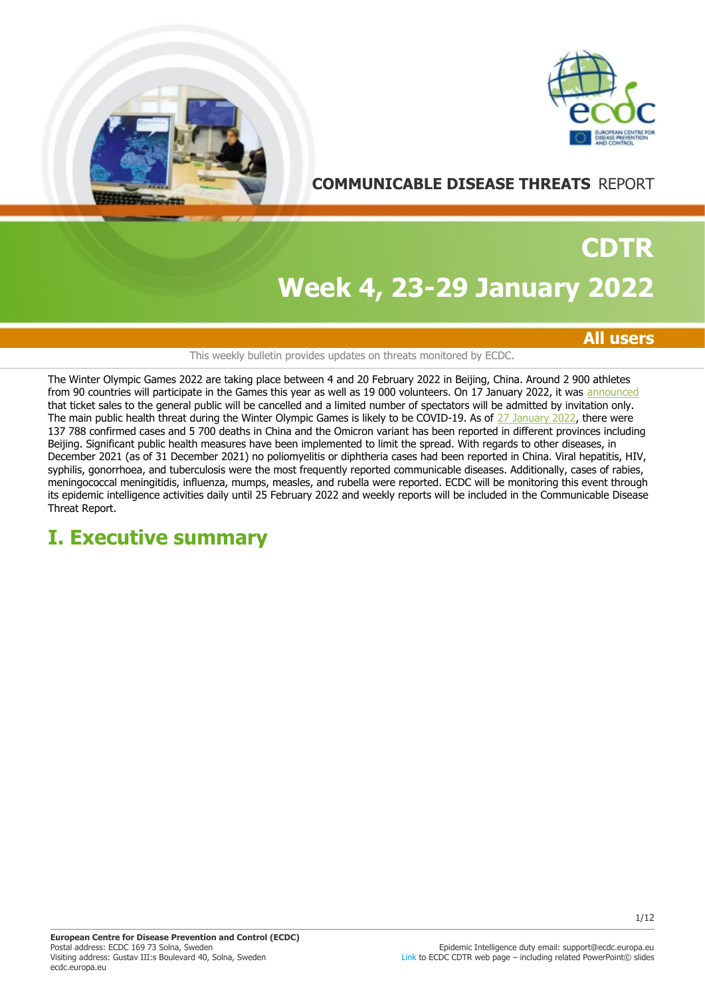



# **COMMUNICABLE DISEASE THREATS** REPORT

# **Week 4, 23-29 January 2022 CDTR**

## **All users**

### This weekly bulletin provides updates on threats monitored by ECDC.

The Winter Olympic Games 2022 are taking place between 4 and 20 February 2022 in Beijing, China. Around 2 900 athletes from 90 countries will participate in the Games this year as well as 19 000 volunteers. On 17 January 2022, it was [announced](https://olympics.com/ioc/news/beijing-2022-spectator-policy-finalised) that ticket sales to the general public will be cancelled and a limited number of spectators will be admitted by invitation only. The main public health threat during the Winter Olympic Games is likely to be COVID-19. As of [27 January 2022](https://covid19.who.int/region/wpro/country/cn), there were 137 788 confirmed cases and 5 700 deaths in China and the Omicron variant has been reported in different provinces including Beijing. Significant public health measures have been implemented to limit the spread. With regards to other diseases, in December 2021 (as of 31 December 2021) no poliomyelitis or diphtheria cases had been reported in China. Viral hepatitis, HIV, syphilis, gonorrhoea, and tuberculosis were the most frequently reported communicable diseases. Additionally, cases of rabies, meningococcal meningitidis, influenza, mumps, measles, and rubella were reported. ECDC will be monitoring this event through its epidemic intelligence activities daily until 25 February 2022 and weekly reports will be included in the Communicable Disease Threat Report.

# **I. Executive summary**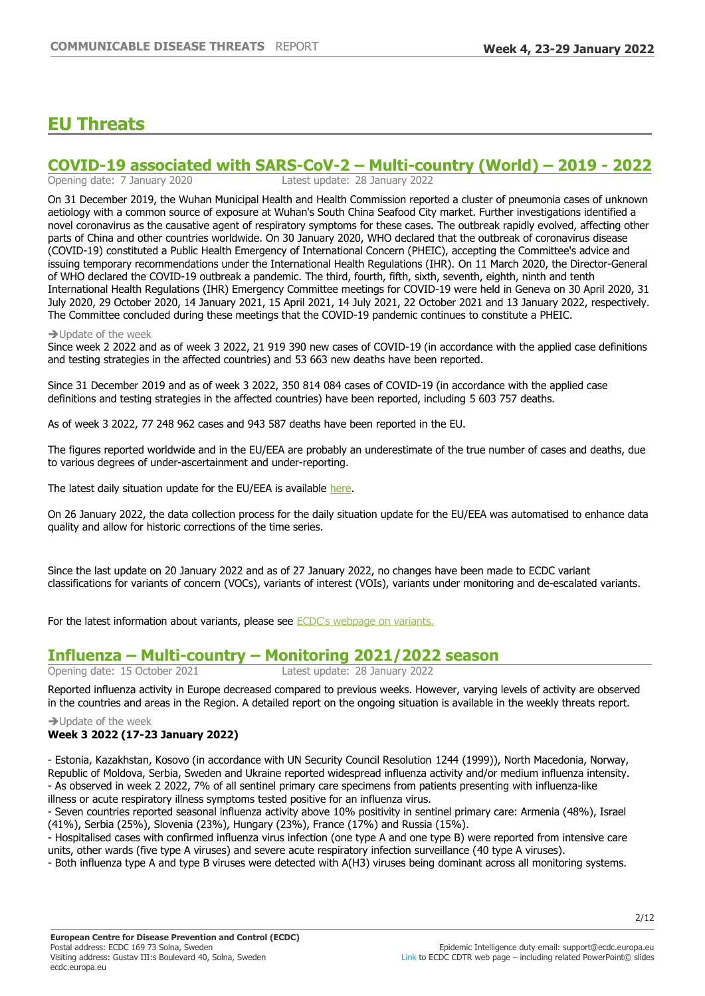# **EU Threats**

# **COVID-19 associated with SARS-CoV-2 – Multi-country (World) – 2019 - 2022**<br>Opening date: 7 January 2020<br>Latest update: 28 January 2022

Latest update: 28 January 2022

On 31 December 2019, the Wuhan Municipal Health and Health Commission reported a cluster of pneumonia cases of unknown aetiology with a common source of exposure at Wuhan's South China Seafood City market. Further investigations identified a novel coronavirus as the causative agent of respiratory symptoms for these cases. The outbreak rapidly evolved, affecting other parts of China and other countries worldwide. On 30 January 2020, WHO declared that the outbreak of coronavirus disease (COVID-19) constituted a Public Health Emergency of International Concern (PHEIC), accepting the Committee's advice and issuing temporary recommendations under the International Health Regulations (IHR). On 11 March 2020, the Director-General of WHO declared the COVID-19 outbreak a pandemic. The third, fourth, fifth, sixth, seventh, eighth, ninth and tenth International Health Regulations (IHR) Emergency Committee meetings for COVID-19 were held in Geneva on 30 April 2020, 31 July 2020, 29 October 2020, 14 January 2021, 15 April 2021, 14 July 2021, 22 October 2021 and 13 January 2022, respectively. The Committee concluded during these meetings that the COVID-19 pandemic continues to constitute a PHEIC.

#### $\rightarrow$  Update of the week

Since week 2 2022 and as of week 3 2022, 21 919 390 new cases of COVID-19 (in accordance with the applied case definitions and testing strategies in the affected countries) and 53 663 new deaths have been reported.

Since 31 December 2019 and as of week 3 2022, 350 814 084 cases of COVID-19 (in accordance with the applied case definitions and testing strategies in the affected countries) have been reported, including 5 603 757 deaths.

As of week 3 2022, 77 248 962 cases and 943 587 deaths have been reported in the EU.

The figures reported worldwide and in the EU/EEA are probably an underestimate of the true number of cases and deaths, due to various degrees of under-ascertainment and under-reporting.

The latest daily situation update for the EU/EEA is available [here.](https://www.ecdc.europa.eu/en/cases-2019-ncov-eueea)

On 26 January 2022, the data collection process for the daily situation update for the EU/EEA was automatised to enhance data quality and allow for historic corrections of the time series.

Since the last update on 20 January 2022 and as of 27 January 2022, no changes have been made to ECDC variant classifications for variants of concern (VOCs), variants of interest (VOIs), variants under monitoring and de-escalated variants.

For the latest information about variants, please see [ECDC's webpage on variants.](https://eur02.safelinks.protection.outlook.com/?url=https%3A%2F%2Fwww.ecdc.europa.eu%2Fen%2Fcovid-19%2Fvariants-concern&data=04%7C01%7C%7Ccb9b8b47806242cb8c7e08d9b635ab36%7C6ad73702409c4046ae59cc4bea334507%7C0%7C0%7C637741163891866690%7CUnknown%7CTWFpbGZsb3d8eyJWIjoiMC4wLjAwMDAiLCJQIjoiV2luMzIiLCJBTiI6Ik1haWwiLCJXVCI6Mn0%3D%7C3000&sdata=HhGTCmImJ1iIMdBws5WLPDFX4%2F2K8pUGG1P%2FdT7iY84%3D&reserved=0)

# **Influenza ±Multi-country ±Monitoring 2021/2022 season**

Opening date: 15 October 2021 Latest update: 28 January 2022

Reported influenza activity in Europe decreased compared to previous weeks. However, varying levels of activity are observed in the countries and areas in the Region. A detailed report on the ongoing situation is available in the weekly threats report.

 $\rightarrow$  Update of the week

## **Week 3 2022 (17-23 January 2022)**

- Estonia, Kazakhstan, Kosovo (in accordance with UN Security Council Resolution 1244 (1999)), North Macedonia, Norway, Republic of Moldova, Serbia, Sweden and Ukraine reported widespread influenza activity and/or medium influenza intensity. - As observed in week 2 2022, 7% of all sentinel primary care specimens from patients presenting with influenza-like illness or acute respiratory illness symptoms tested positive for an influenza virus.

- Seven countries reported seasonal influenza activity above 10% positivity in sentinel primary care: Armenia (48%), Israel (41%), Serbia (25%), Slovenia (23%), Hungary (23%), France (17%) and Russia (15%).

- Hospitalised cases with confirmed influenza virus infection (one type A and one type B) were reported from intensive care units, other wards (five type A viruses) and severe acute respiratory infection surveillance (40 type A viruses).

- Both influenza type A and type B viruses were detected with A(H3) viruses being dominant across all monitoring systems.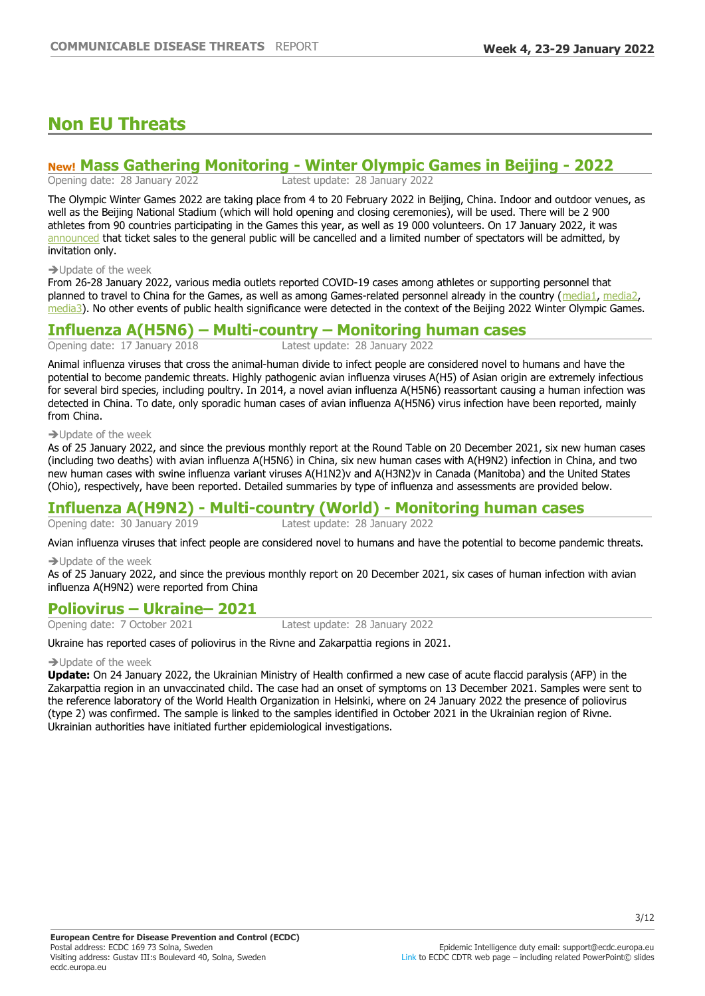# **Non EU Threats**

# **New! Mass Gathering Monitoring - Winter Olympic Games in Beijing - 2022**<br>Opening date: 28 January 2022<br>Latest update: 28 January 2022

Opening date: 28 January 2022

The Olympic Winter Games 2022 are taking place from 4 to 20 February 2022 in Beijing, China. Indoor and outdoor venues, as well as the Beijing National Stadium (which will hold opening and closing ceremonies), will be used. There will be 2 900 athletes from 90 countries participating in the Games this year, as well as 19 000 volunteers. On 17 January 2022, it was [announced](https://olympics.com/ioc/news/beijing-2022-spectator-policy-finalised) that ticket sales to the general public will be cancelled and a limited number of spectators will be admitted, by invitation only.

#### $\rightarrow$  Update of the week

From 26-28 January 2022, various media outlets reported COVID-19 cases among athletes or supporting personnel that planned to travel to China for the Games, as well as among Games-related personnel already in the country ([media1](https://sverigesradio.se/artikel/lulea-hockeys-finska-landslagsspelare-testade-positivt-just-innan-os-resan), [media2,](https://apnews.com/article/winter-olympics-coronavirus-pandemic-sports-health-skiing-444d53d42bc6fd9eae9b0d991405cf3a) [media3](https://www.reuters.com/lifestyle/sports/olympics-beijing-2022-reports-72-covid-19-cases-among-games-personnel-jan-4-22-2022-01-23/)). No other events of public health significance were detected in the context of the Beijing 2022 Winter Olympic Games.

# **Influenza A(H5N6) ±Multi-country ±Monitoring human cases**

Opening date: 17 January 2018

Animal influenza viruses that cross the animal-human divide to infect people are considered novel to humans and have the potential to become pandemic threats. Highly pathogenic avian influenza viruses A(H5) of Asian origin are extremely infectious for several bird species, including poultry. In 2014, a novel avian influenza A(H5N6) reassortant causing a human infection was detected in China. To date, only sporadic human cases of avian influenza A(H5N6) virus infection have been reported, mainly from China.

 $\rightarrow$  Update of the week

As of 25 January 2022, and since the previous monthly report at the Round Table on 20 December 2021, six new human cases (including two deaths) with avian influenza A(H5N6) in China, six new human cases with A(H9N2) infection in China, and two new human cases with swine influenza variant viruses A(H1N2)v and A(H3N2)v in Canada (Manitoba) and the United States (Ohio), respectively, have been reported. Detailed summaries by type of influenza and assessments are provided below.

# **Influenza A(H9N2) - Multi-country (World) - Monitoring human cases**

Opening date: 30 January 2019

Avian influenza viruses that infect people are considered novel to humans and have the potential to become pandemic threats.

 $\rightarrow$  Update of the week

As of 25 January 2022, and since the previous monthly report on 20 December 2021, six cases of human infection with avian influenza A(H9N2) were reported from China

# **Poliovirus – Ukraine – 2021**

Opening date: 7 October 2021 Latest update: 28 January 2022

Ukraine has reported cases of poliovirus in the Rivne and Zakarpattia regions in 2021.

### $\rightarrow$  Update of the week

**Update:** On 24 January 2022, the Ukrainian Ministry of Health confirmed a new case of acute flaccid paralysis (AFP) in the Zakarpattia region in an unvaccinated child. The case had an onset of symptoms on 13 December 2021. Samples were sent to the reference laboratory of the World Health Organization in Helsinki, where on 24 January 2022 the presence of poliovirus (type 2) was confirmed. The sample is linked to the samples identified in October 2021 in the Ukrainian region of Rivne. Ukrainian authorities have initiated further epidemiological investigations.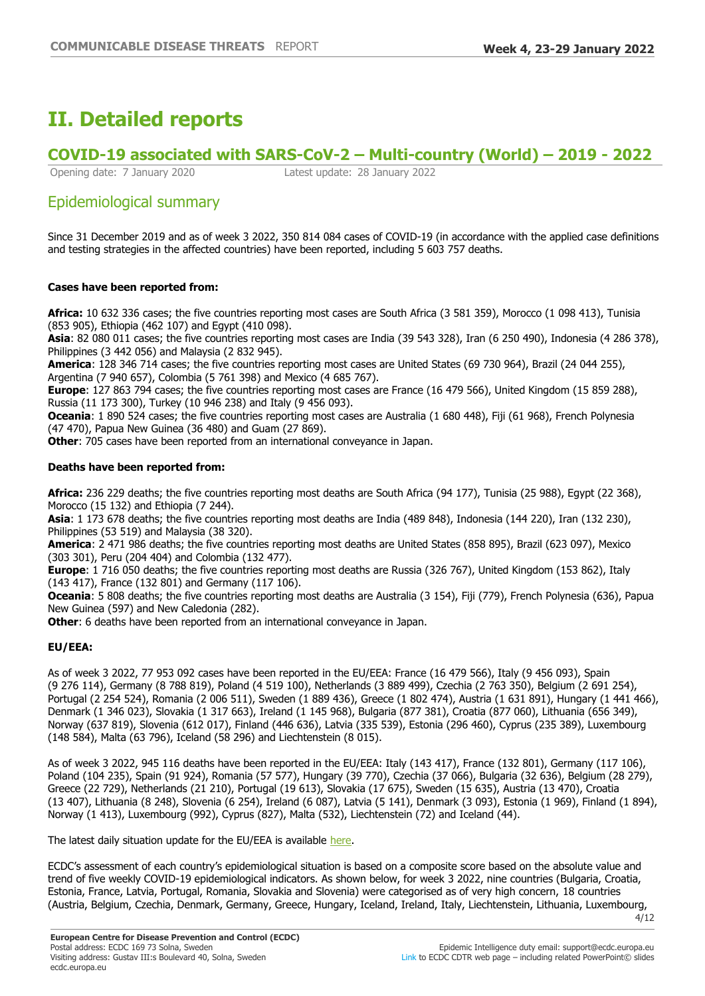# **II. Detailed reports**

# **COVID-19 associated with SARS-CoV-2 ±Multi-country (World) ±**

Opening date: 7 January 2020 Latest update: 28 January 2022

# Epidemiological summary

Since 31 December 2019 and as of week 3 2022, 350 814 084 cases of COVID-19 (in accordance with the applied case definitions and testing strategies in the affected countries) have been reported, including 5 603 757 deaths.

### **Cases have been reported from:**

**Africa:** 10 632 336 cases; the five countries reporting most cases are South Africa (3 581 359), Morocco (1 098 413), Tunisia (853 905), Ethiopia (462 107) and Egypt (410 098).

**Asia**: 82 080 011 cases; the five countries reporting most cases are India (39 543 328), Iran (6 250 490), Indonesia (4 286 378), Philippines (3 442 056) and Malaysia (2 832 945).

**America**: 128 346 714 cases; the five countries reporting most cases are United States (69 730 964), Brazil (24 044 255), Argentina (7 940 657), Colombia (5 761 398) and Mexico (4 685 767).

**Europe**: 127 863 794 cases; the five countries reporting most cases are France (16 479 566), United Kingdom (15 859 288), Russia (11 173 300), Turkey (10 946 238) and Italy (9 456 093).

**Oceania**: 1 890 524 cases; the five countries reporting most cases are Australia (1 680 448), Fiji (61 968), French Polynesia (47 470), Papua New Guinea (36 480) and Guam (27 869).

**Other**: 705 cases have been reported from an international conveyance in Japan.

### **Deaths have been reported from:**

**Africa:** 236 229 deaths; the five countries reporting most deaths are South Africa (94 177), Tunisia (25 988), Egypt (22 368), Morocco (15 132) and Ethiopia (7 244).

**Asia**: 1 173 678 deaths; the five countries reporting most deaths are India (489 848), Indonesia (144 220), Iran (132 230), Philippines (53 519) and Malaysia (38 320).

**America**: 2 471 986 deaths; the five countries reporting most deaths are United States (858 895), Brazil (623 097), Mexico (303 301), Peru (204 404) and Colombia (132 477).

**Europe**: 1 716 050 deaths; the five countries reporting most deaths are Russia (326 767), United Kingdom (153 862), Italy (143 417), France (132 801) and Germany (117 106).

**Oceania**: 5 808 deaths; the five countries reporting most deaths are Australia (3 154), Fiji (779), French Polynesia (636), Papua New Guinea (597) and New Caledonia (282).

**Other:** 6 deaths have been reported from an international convevance in Japan.

## **EU/EEA:**

As of week 3 2022, 77 953 092 cases have been reported in the EU/EEA: France (16 479 566), Italy (9 456 093), Spain (9 276 114), Germany (8 788 819), Poland (4 519 100), Netherlands (3 889 499), Czechia (2 763 350), Belgium (2 691 254), Portugal (2 254 524), Romania (2 006 511), Sweden (1 889 436), Greece (1 802 474), Austria (1 631 891), Hungary (1 441 466), Denmark (1 346 023), Slovakia (1 317 663), Ireland (1 145 968), Bulgaria (877 381), Croatia (877 060), Lithuania (656 349), Norway (637 819), Slovenia (612 017), Finland (446 636), Latvia (335 539), Estonia (296 460), Cyprus (235 389), Luxembourg (148 584), Malta (63 796), Iceland (58 296) and Liechtenstein (8 015).

As of week 3 2022, 945 116 deaths have been reported in the EU/EEA: Italy (143 417), France (132 801), Germany (117 106), Poland (104 235), Spain (91 924), Romania (57 577), Hungary (39 770), Czechia (37 066), Bulgaria (32 636), Belgium (28 279), Greece (22 729), Netherlands (21 210), Portugal (19 613), Slovakia (17 675), Sweden (15 635), Austria (13 470), Croatia (13 407), Lithuania (8 248), Slovenia (6 254), Ireland (6 087), Latvia (5 141), Denmark (3 093), Estonia (1 969), Finland (1 894), Norway (1 413), Luxembourg (992), Cyprus (827), Malta (532), Liechtenstein (72) and Iceland (44).

The latest daily situation update for the EU/EEA is available [here.](https://www.ecdc.europa.eu/en/cases-2019-ncov-eueea)

ECDC's assessment of each country's epidemiological situation is based on a composite score based on the absolute value and trend of five weekly COVID-19 epidemiological indicators. As shown below, for week 3 2022, nine countries (Bulgaria, Croatia, Estonia, France, Latvia, Portugal, Romania, Slovakia and Slovenia) were categorised as of very high concern, 18 countries (Austria, Belgium, Czechia, Denmark, Germany, Greece, Hungary, Iceland, Ireland, Italy, Liechtenstein, Lithuania, Luxembourg,

**European Centre for Disease Prevention and Control (ECDC)** Postal address: ECDC 169 73 Solna, Sweden Visiting address: Gustav III:s Boulevard 40, Solna, Sweden ecdc.europa.eu

4/12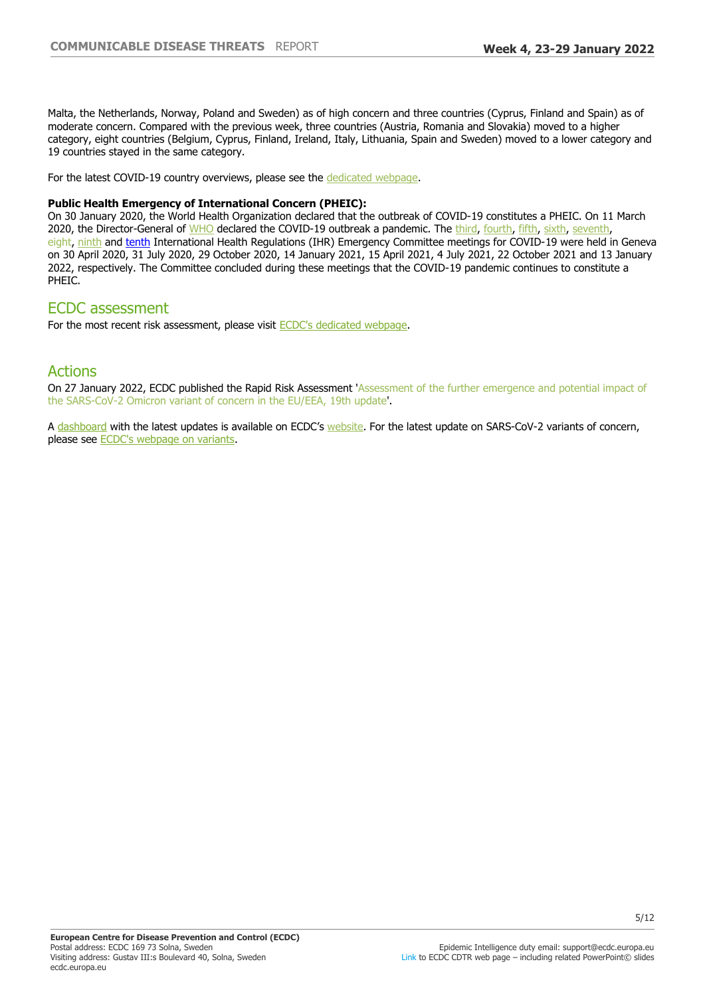Malta, the Netherlands, Norway, Poland and Sweden) as of high concern and three countries (Cyprus, Finland and Spain) as of moderate concern. Compared with the previous week, three countries (Austria, Romania and Slovakia) moved to a higher category, eight countries (Belgium, Cyprus, Finland, Ireland, Italy, Lithuania, Spain and Sweden) moved to a lower category and 19 countries stayed in the same category.

For the latest COVID-19 country overviews, please see the [dedicated webpage](https://covid19-country-overviews.ecdc.europa.eu/).

#### **Public Health Emergency of International Concern (PHEIC):**

On 30 January 2020, the World Health Organization declared that the outbreak of COVID-19 constitutes a PHEIC. On 11 March 2020, the Director-General of [WHO](https://www.who.int/director-general/speeches/detail/who-director-general-s-opening-remarks-at-the-media-briefing-on-covid-19---11-march-2020) declared the COVID-19 outbreak a pandemic. The [third](https://www.who.int/news-room/detail/01-05-2020-statement-on-the-third-meeting-of-the-international-health-regulations-(2005)-emergency-committee-regarding-the-outbreak-of-coronavirus-disease-(covid-19)), [fourth,](https://www.who.int/news-room/detail/01-08-2020-statement-on-the-fourth-meeting-of-the-international-health-regulations-(2005)-emergency-committee-regarding-the-outbreak-of-coronavirus-disease-(covid-19)) [fifth](https://www.who.int/news/item/30-10-2020-statement-on-the-fifth-meeting-of-the-international-health-regulations-(2005)-emergency-committee-regarding-the-coronavirus-disease-(covid-19)-pandemic), [sixth](https://www.who.int/news/item/15-01-2021-statement-on-the-sixth-meeting-of-the-international-health-regulations-(2005)-emergency-committee-regarding-the-coronavirus-disease-(covid-19)-pandemic), [seventh,](https://www.who.int/news/item/19-04-2021-statement-on-the-seventh-meeting-of-the-international-health-regulations-(2005)-emergency-committee-regarding-the-coronavirus-disease-(covid-19)-pandemic) eight, [ninth](https://www.who.int/news/item/26-10-2021-statement-on-the-ninth-meeting-of-the-international-health-regulations-(2005)-emergency-committee-regarding-the-coronavirus-disease-(covid-19)-pandemic) and [tenth](https://www.who.int/news/item/19-01-2022-statement-on-the-tenth-meeting-of-the-international-health-regulations-(2005)-emergency-committee-regarding-the-coronavirus-disease-(covid-19)-pandemic#:~:text=The%20tenth%20meeting%20of%20the%20Emergency%20Committee%20convened%20by%20the,00%20Geneva%20time%20(CEST).) International Health Regulations (IHR) Emergency Committee meetings for COVID-19 were held in Geneva on 30 April 2020, 31 July 2020, 29 October 2020, 14 January 2021, 15 April 2021, 4 July 2021, 22 October 2021 and 13 January 2022, respectively. The Committee concluded during these meetings that the COVID-19 pandemic continues to constitute a PHEIC.

## ECDC assessment

For the most recent risk assessment, please visit [ECDC's dedicated webpage.](https://www.ecdc.europa.eu/en/current-risk-assessment-novel-coronavirus-situation)

## Actions

On 27 January 2022, ECDC published the Rapid Risk Assessment 'Assessment of the further emergence and potential impact of the SARS-CoV-2 Omicron variant of concern in the EU/EEA, 19th update'.

A [dashboard](https://vaccinetracker.ecdc.europa.eu/public/extensions/COVID-19/covid-19.html) with the latest updates is available on ECDC's [website.](https://www.ecdc.europa.eu/en) For the latest update on SARS-CoV-2 variants of concern, please see [ECDC's webpage on variants](https://www.ecdc.europa.eu/en/covid-19/variants-concern).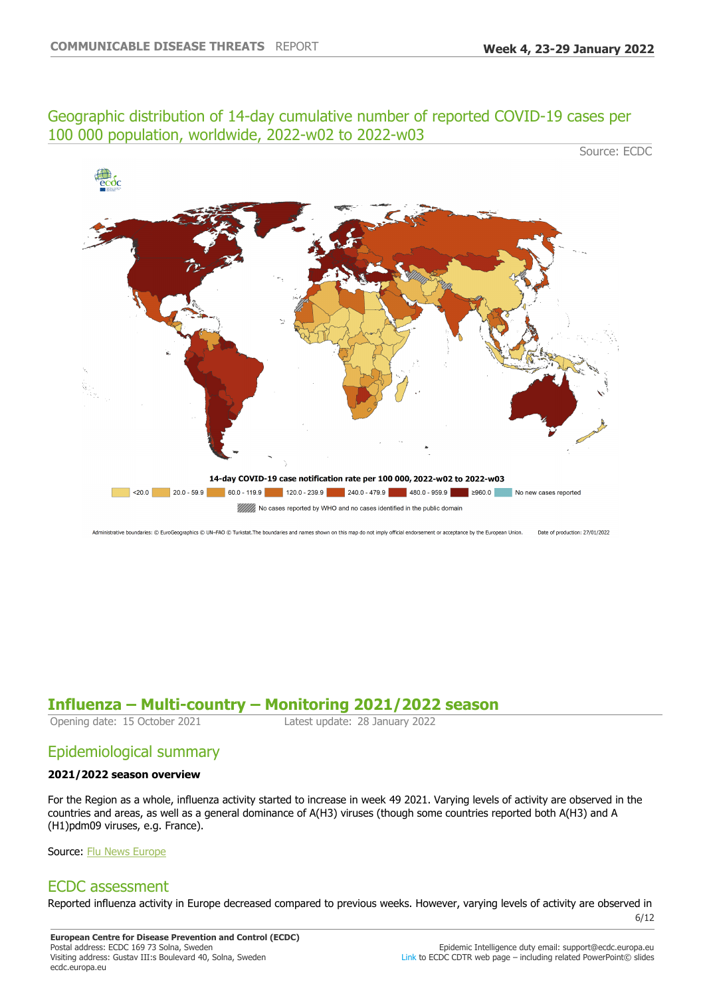## Geographic distribution of 14-day cumulative number of reported COVID-19 cases per 100 000 population, worldwide, 2022-w02 to 2022-w03

Source: ECDC



Administrative boundaries: © EuroGeographics © UN-FAO © Turkstat. The boundaries and names shown on this map do not imply official endorsement or acceptance by the European Union. Date of production: 27/01/2022

# **Influenza ±Multi-country ±Monitoring 2021/2022 season**

Latest update: 28 January 2022

# Epidemiological summary

### **2021/2022 season overview**

For the Region as a whole, influenza activity started to increase in week 49 2021. Varying levels of activity are observed in the countries and areas, as well as a general dominance of A(H3) viruses (though some countries reported both A(H3) and A (H1)pdm09 viruses, e.g. France).

Source: [Flu News Europe](https://emea01.safelinks.protection.outlook.com/?url=https%3A%2F%2Fflunewseurope.org%2F&data=04%7C01%7C%7C90de934c19ae4e30d4aa08d9b62f3847%7C6ad73702409c4046ae59cc4bea334507%7C0%7C0%7C637741136185658389%7CUnknown%7CTWFpbGZsb3d8eyJWIjoiMC4wLjAwMDAiLCJQIjoiV2luMzIiLCJBTiI6Ik1haWwiLCJXVCI6Mn0%3D%7C3000&sdata=HUtbexpEmR2FtTvbx7j0BUEQAWgBrq71rj%2Fh1Qj7CU0%3D&reserved=0)

# ECDC assessment

Reported influenza activity in Europe decreased compared to previous weeks. However, varying levels of activity are observed in

6/12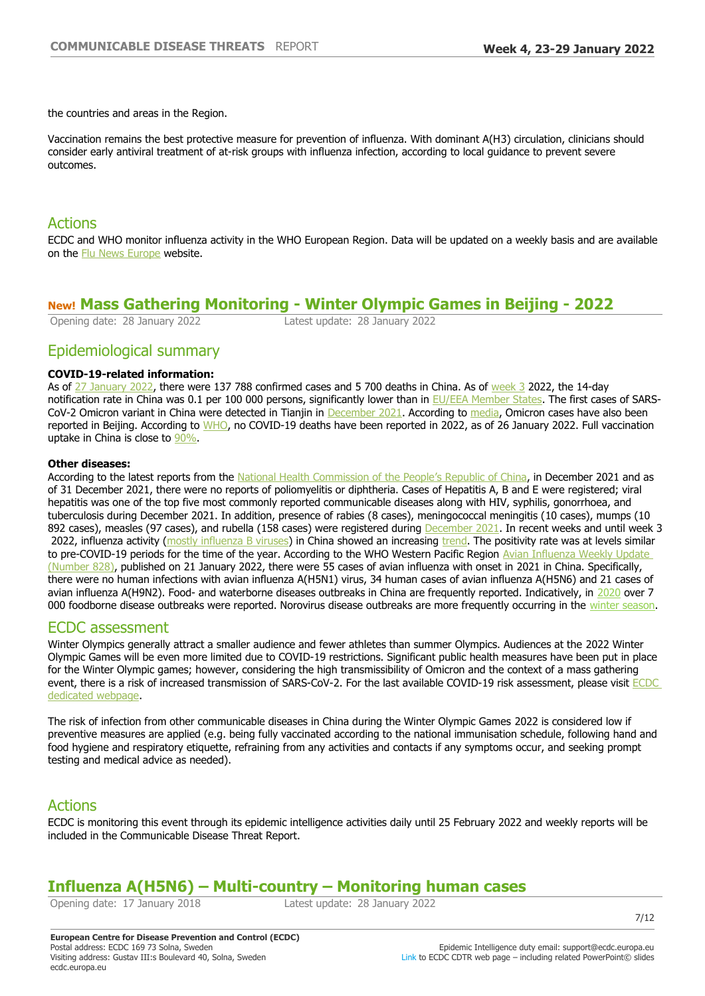the countries and areas in the Region.

Vaccination remains the best protective measure for prevention of influenza. With dominant A(H3) circulation, clinicians should consider early antiviral treatment of at-risk groups with influenza infection, according to local guidance to prevent severe outcomes.

## Actions

ECDC and WHO monitor influenza activity in the WHO European Region. Data will be updated on a weekly basis and are available on the [Flu News Europe](https://flunewseurope.org/) website.

## **New! Mass Gathering Monitoring - Winter Olympic Games in Beijing - 2022**

Opening date: 28 January 2022 Latest update: 28 January 2022

## Epidemiological summary

### **COVID-19-related information:**

As of [27 January 2022](https://covid19.who.int/region/wpro/country/cn), there were 137 788 confirmed cases and 5 700 deaths in China. As of [week 3](https://www.ecdc.europa.eu/en/geographical-distribution-2019-ncov-cases) 2022, the 14-day notification rate in China was 0.1 per 100 000 persons, significantly lower than in [EU/EEA Member States.](https://qap.ecdc.europa.eu/public/extensions/COVID-19/COVID-19.html#global-overview-tab) The first cases of SARS-CoV-2 Omicron variant in China were detected in Tianjin in [December 2021.](http://weekly.chinacdc.cn/en/article/doi/10.46234/ccdcw2021.266) According to [media,](https://www.aljazeera.com/news/2022/1/15/beijing-reports-first-omicron-case-ahead-of-winter-olympics) Omicron cases have also been reported in Beijing. According to [WHO](https://covid19.who.int/region/wpro/country/cn), no COVID-19 deaths have been reported in 2022, as of 26 January 2022. Full vaccination uptake in China is close to [90%](http://www.gov.cn/xinwen/gwylflkjz181/index.htm).

### **Other diseases:**

According to the latest reports from the [National Health Commission of the People](http://www.nhc.gov.cn/jkj/s3578/202201/ad8a655dec234bf78d42ece54f5dd282.shtml)'[s Republic of China](http://www.nhc.gov.cn/jkj/s3578/202201/ad8a655dec234bf78d42ece54f5dd282.shtml), in December 2021 and as of 31 December 2021, there were no reports of poliomyelitis or diphtheria. Cases of Hepatitis A, B and E were registered; viral hepatitis was one of the top five most commonly reported communicable diseases along with HIV, syphilis, gonorrhoea, and tuberculosis during December 2021. In addition, presence of rabies (8 cases), meningococcal meningitis (10 cases), mumps (10 892 cases), measles (97 cases), and rubella (158 cases) were registered during [December 2021.](http://www.nhc.gov.cn/jkj/s3578/202201/ad8a655dec234bf78d42ece54f5dd282.shtml) In recent weeks and until week 3 2022, influenza activity ([mostly influenza B viruses\)](http://www.chinaivdc.cn/cnic/en/Surveillance/WeeklyReport/202201/P020220125344637528617.pdf) in China showed an increasing [trend](https://cdn.who.int/media/docs/default-source/influenza/influenza-updates/2021/2022_01_24_surveillance_update_411.pdf?sfvrsn=11fc65ec_9&download=true). The positivity rate was at levels similar to pre-COVID-19 periods for the time of the year. According to the WHO Western Pacific Region Avian Influenza Weekly Update [\(Number 828\),](https://www.who.int/docs/default-source/wpro---documents/emergency/surveillance/avian-influenza/ai-20220121.pdf?sfvrsn=30d65594_198) published on 21 January 2022, there were 55 cases of avian influenza with onset in 2021 in China. Specifically, there were no human infections with avian influenza A(H5N1) virus, 34 human cases of avian influenza A(H5N6) and 21 cases of avian influenza A(H9N2). Food- and waterborne diseases outbreaks in China are frequently reported. Indicatively, in [2020](http://weekly.chinacdc.cn/en/article/doi/10.46234/ccdcw2021.219) over 7 000 foodborne disease outbreaks were reported. Norovirus disease outbreaks are more frequently occurring in the [winter season](https://www.ncbi.nlm.nih.gov/pmc/articles/PMC7045832/).

## ECDC assessment

Winter Olympics generally attract a smaller audience and fewer athletes than summer Olympics. Audiences at the 2022 Winter Olympic Games will be even more limited due to COVID-19 restrictions. Significant public health measures have been put in place for the Winter Olympic games; however, considering the high transmissibility of Omicron and the context of a mass gathering event, there is a risk of increased transmission of SARS-CoV-2. For the last available COVID-19 risk assessment, please visit ECDC [dedicated webpage.](https://www.ecdc.europa.eu/en/current-risk-assessment-novel-coronavirus-situation)

The risk of infection from other communicable diseases in China during the Winter Olympic Games 2022 is considered low if preventive measures are applied (e.g. being fully vaccinated according to the national immunisation schedule, following hand and food hygiene and respiratory etiquette, refraining from any activities and contacts if any symptoms occur, and seeking prompt testing and medical advice as needed).

# Actions

ECDC is monitoring this event through its epidemic intelligence activities daily until 25 February 2022 and weekly reports will be included in the Communicable Disease Threat Report.

# **Influenza A(H5N6) ±Multi-country ±Monitoring human cases**

Opening date: 17 January 2018 Latest update: 28 January 2022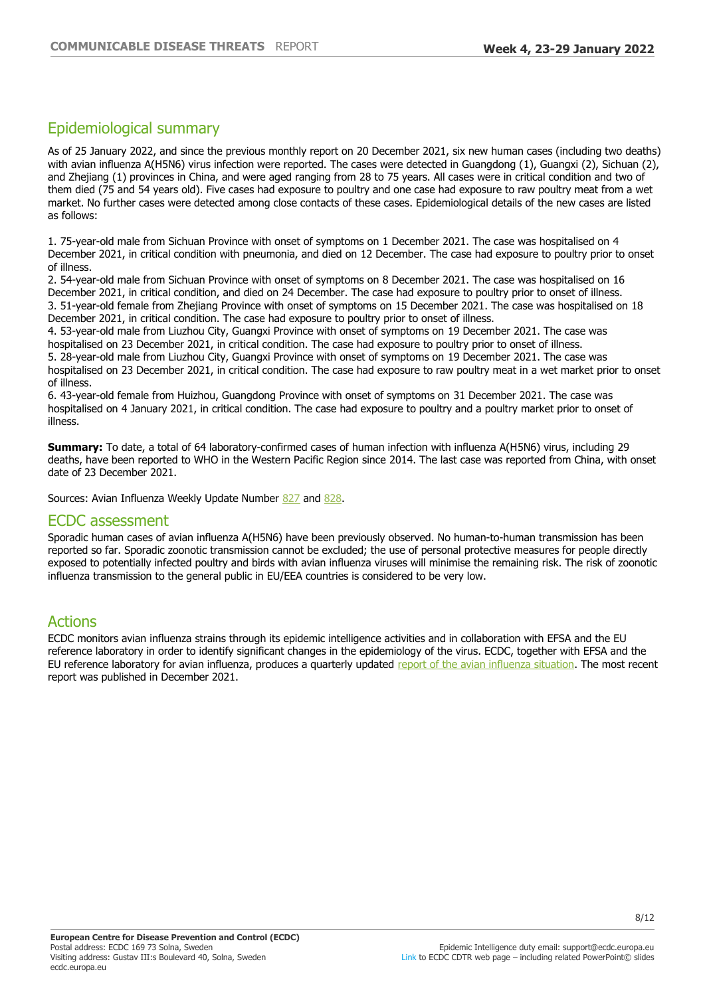# Epidemiological summary

As of 25 January 2022, and since the previous monthly report on 20 December 2021, six new human cases (including two deaths) with avian influenza A(H5N6) virus infection were reported. The cases were detected in Guangdong (1), Guangxi (2), Sichuan (2), and Zhejiang (1) provinces in China, and were aged ranging from 28 to 75 years. All cases were in critical condition and two of them died (75 and 54 years old). Five cases had exposure to poultry and one case had exposure to raw poultry meat from a wet market. No further cases were detected among close contacts of these cases. Epidemiological details of the new cases are listed as follows:

1. 75-year-old male from Sichuan Province with onset of symptoms on 1 December 2021. The case was hospitalised on 4 December 2021, in critical condition with pneumonia, and died on 12 December. The case had exposure to poultry prior to onset of illness.

2. 54-year-old male from Sichuan Province with onset of symptoms on 8 December 2021. The case was hospitalised on 16 December 2021, in critical condition, and died on 24 December. The case had exposure to poultry prior to onset of illness. 3. 51-year-old female from Zhejiang Province with onset of symptoms on 15 December 2021. The case was hospitalised on 18 December 2021, in critical condition. The case had exposure to poultry prior to onset of illness.

4. 53-year-old male from Liuzhou City, Guangxi Province with onset of symptoms on 19 December 2021. The case was hospitalised on 23 December 2021, in critical condition. The case had exposure to poultry prior to onset of illness. 5. 28-year-old male from Liuzhou City, Guangxi Province with onset of symptoms on 19 December 2021. The case was hospitalised on 23 December 2021, in critical condition. The case had exposure to raw poultry meat in a wet market prior to onset of illness.

6. 43-year-old female from Huizhou, Guangdong Province with onset of symptoms on 31 December 2021. The case was hospitalised on 4 January 2021, in critical condition. The case had exposure to poultry and a poultry market prior to onset of illness.

**Summary:** To date, a total of 64 laboratory-confirmed cases of human infection with influenza A(H5N6) virus, including 29 deaths, have been reported to WHO in the Western Pacific Region since 2014. The last case was reported from China, with onset date of 23 December 2021.

Sources: Avian Influenza Weekly Update Number [827](https://www.who.int/docs/default-source/wpro---documents/emergency/surveillance/avian-influenza/ai-20220114.pdf?sfvrsn=223ca73f_176) and [828.](https://www.who.int/docs/default-source/wpro---documents/emergency/surveillance/avian-influenza/ai-20220121.pdf?sfvrsn=30d65594_198)

## ECDC assessment

Sporadic human cases of avian influenza A(H5N6) have been previously observed. No human-to-human transmission has been reported so far. Sporadic zoonotic transmission cannot be excluded; the use of personal protective measures for people directly exposed to potentially infected poultry and birds with avian influenza viruses will minimise the remaining risk. The risk of zoonotic influenza transmission to the general public in EU/EEA countries is considered to be very low.

# Actions

ECDC monitors avian influenza strains through its epidemic intelligence activities and in collaboration with EFSA and the EU reference laboratory in order to identify significant changes in the epidemiology of the virus. ECDC, together with EFSA and the EU reference laboratory for avian influenza, produces a quarterly updated [report of the avian influenza situation](http://ecdc.europa.eu/avian-influenza-humans/surveillance-and-disease-data/avian-influenza-overview). The most recent report was published in December 2021.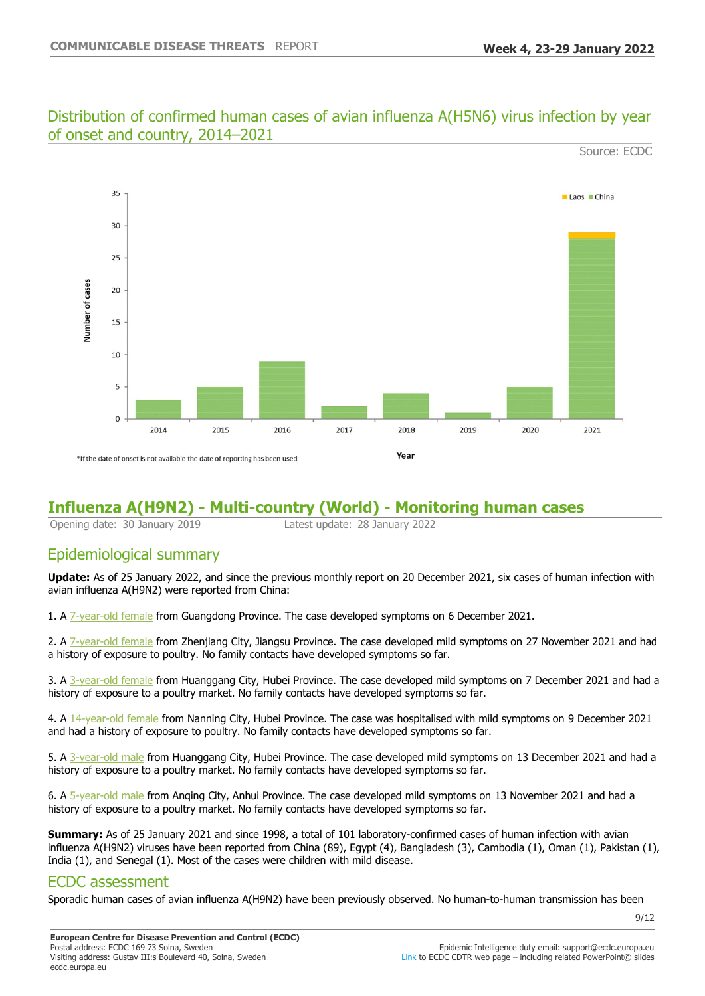# Distribution of confirmed human cases of avian influenza A(H5N6) virus infection by year of onset and country, 2014-2021



# **Influenza A(H9N2) - Multi-country (World) - Monitoring human cases**

Opening date: 30 January 2019 Latest update: 28 January 2022

# Epidemiological summary

**Update:** As of 25 January 2022, and since the previous monthly report on 20 December 2021, six cases of human infection with avian influenza A(H9N2) were reported from China:

1. A [7-year-old female](https://www.chp.gov.hk/files/pdf/2022_avian_influenza_report_vol18_wk04.pdf) from Guangdong Province. The case developed symptoms on 6 December 2021.

2. A [7-year-old female](https://www.who.int/docs/default-source/wpro---documents/emergency/surveillance/avian-influenza/ai-20220114.pdf?sfvrsn=223ca73f_176) from Zhenjiang City, Jiangsu Province. The case developed mild symptoms on 27 November 2021 and had a history of exposure to poultry. No family contacts have developed symptoms so far.

3. A [3-year-old female](https://www.who.int/docs/default-source/wpro---documents/emergency/surveillance/avian-influenza/ai-20220114.pdf?sfvrsn=223ca73f_176) from Huanggang City, Hubei Province. The case developed mild symptoms on 7 December 2021 and had a history of exposure to a poultry market. No family contacts have developed symptoms so far.

4. A [14-year-old female](https://www.who.int/docs/default-source/wpro---documents/emergency/surveillance/avian-influenza/ai-20220114.pdf?sfvrsn=223ca73f_176) from Nanning City, Hubei Province. The case was hospitalised with mild symptoms on 9 December 2021 and had a history of exposure to poultry. No family contacts have developed symptoms so far.

5. A [3-year-old male](https://www.who.int/docs/default-source/wpro---documents/emergency/surveillance/avian-influenza/ai-20220114.pdf?sfvrsn=223ca73f_176) from Huanggang City, Hubei Province. The case developed mild symptoms on 13 December 2021 and had a history of exposure to a poultry market. No family contacts have developed symptoms so far.

6. A [5-year-old male](https://www.who.int/docs/default-source/wpro---documents/emergency/surveillance/avian-influenza/ai-20220121.pdf?sfvrsn=30d65594_198) from Anqing City, Anhui Province. The case developed mild symptoms on 13 November 2021 and had a history of exposure to a poultry market. No family contacts have developed symptoms so far.

**Summary:** As of 25 January 2021 and since 1998, a total of 101 laboratory-confirmed cases of human infection with avian influenza A(H9N2) viruses have been reported from China (89), Egypt (4), Bangladesh (3), Cambodia (1), Oman (1), Pakistan (1), India (1), and Senegal (1). Most of the cases were children with mild disease.

## ECDC assessment

Sporadic human cases of avian influenza A(H9N2) have been previously observed. No human-to-human transmission has been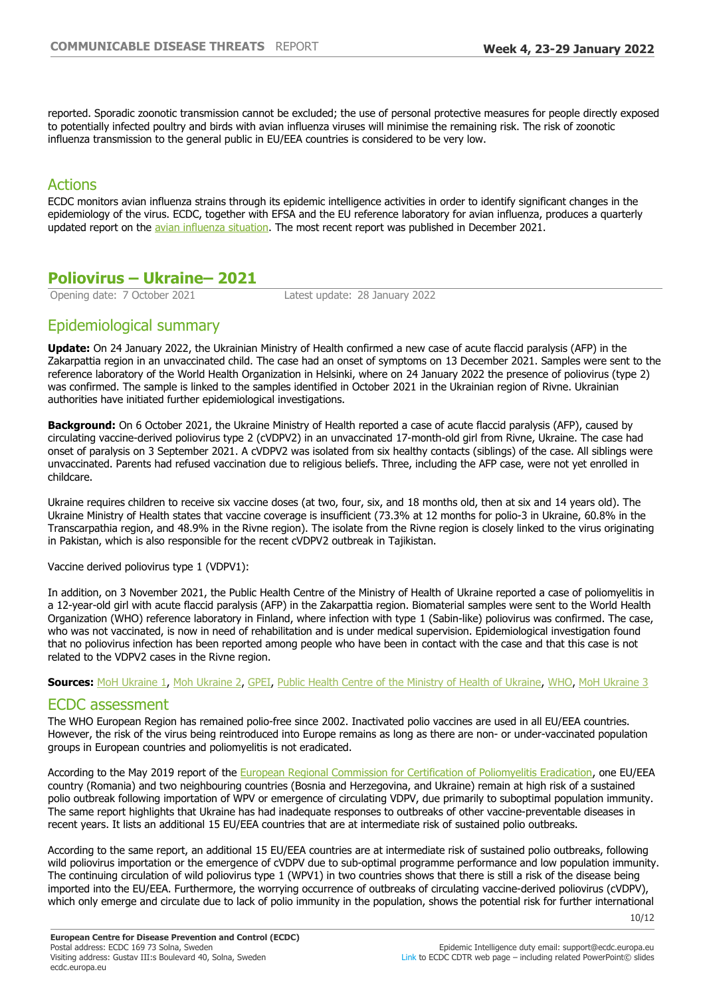reported. Sporadic zoonotic transmission cannot be excluded; the use of personal protective measures for people directly exposed to potentially infected poultry and birds with avian influenza viruses will minimise the remaining risk. The risk of zoonotic influenza transmission to the general public in EU/EEA countries is considered to be very low.

# Actions

ECDC monitors avian influenza strains through its epidemic intelligence activities in order to identify significant changes in the epidemiology of the virus. ECDC, together with EFSA and the EU reference laboratory for avian influenza, produces a quarterly updated report on the [avian influenza situation.](http://ecdc.europa.eu/avian-influenza-humans/surveillance-and-disease-data/avian-influenza-overview) The most recent report was published in December 2021.

# **Poliovirus – Ukraine – 2021**

Opening date: 7 October 2021 Latest update: 28 January 2022

# Epidemiological summary

**Update:** On 24 January 2022, the Ukrainian Ministry of Health confirmed a new case of acute flaccid paralysis (AFP) in the Zakarpattia region in an unvaccinated child. The case had an onset of symptoms on 13 December 2021. Samples were sent to the reference laboratory of the World Health Organization in Helsinki, where on 24 January 2022 the presence of poliovirus (type 2) was confirmed. The sample is linked to the samples identified in October 2021 in the Ukrainian region of Rivne. Ukrainian authorities have initiated further epidemiological investigations.

**Background:** On 6 October 2021, the Ukraine Ministry of Health reported a case of acute flaccid paralysis (AFP), caused by circulating vaccine-derived poliovirus type 2 (cVDPV2) in an unvaccinated 17-month-old girl from Rivne, Ukraine. The case had onset of paralysis on 3 September 2021. A cVDPV2 was isolated from six healthy contacts (siblings) of the case. All siblings were unvaccinated. Parents had refused vaccination due to religious beliefs. Three, including the AFP case, were not yet enrolled in childcare.

Ukraine requires children to receive six vaccine doses (at two, four, six, and 18 months old, then at six and 14 years old). The Ukraine Ministry of Health states that vaccine coverage is insufficient (73.3% at 12 months for polio-3 in Ukraine, 60.8% in the Transcarpathia region, and 48.9% in the Rivne region). The isolate from the Rivne region is closely linked to the virus originating in Pakistan, which is also responsible for the recent cVDPV2 outbreak in Tajikistan.

### Vaccine derived poliovirus type 1 (VDPV1):

In addition, on 3 November 2021, the Public Health Centre of the Ministry of Health of Ukraine reported a case of poliomyelitis in a 12-year-old girl with acute flaccid paralysis (AFP) in the Zakarpattia region. Biomaterial samples were sent to the World Health Organization (WHO) reference laboratory in Finland, where infection with type 1 (Sabin-like) poliovirus was confirmed. The case, who was not vaccinated, is now in need of rehabilitation and is under medical supervision. Epidemiological investigation found that no poliovirus infection has been reported among people who have been in contact with the case and that this case is not related to the VDPV2 cases in the Rivne region.

**Sources:** [MoH Ukraine 1,](https://eur02.safelinks.protection.outlook.com/?url=https%3A%2F%2Fmoz.gov.ua%2Farticle%2Fnews%2Fv-ukraini-oficijno-pidtverdili-vipadok-poliomielitu-v-malenkoi-ditini&data=04%7C01%7C%7C0d062ba380e64fc24d0a08d9a5b2bfed%7C6ad73702409c4046ae59cc4bea334507%7C0%7C0%7C637723009401696518%7CUnknown%7CTWFpbGZsb3d8eyJWIjoiMC4wLjAwMDAiLCJQIjoiV2luMzIiLCJBTiI6Ik1haWwiLCJXVCI6Mn0%3D%7C1000&sdata=A1NMc2gjrJytDW5ncb5Y2hi%2FrqviDTmpt55Deo6kAtg%3D&reserved=0) [Moh Ukraine 2,](https://eur02.safelinks.protection.outlook.com/?url=https%3A%2F%2Fmoz.gov.ua%2Farticle%2Fnews%2Fu-rivnenskij-oblasti-provedut-dodatkovi-turi-imunizacii-ditej-vid-polio-a-nevakcinovanih-ditej-ne-budut-dopuskati-do-navchannja-&data=04%7C01%7C%7C0d062ba380e64fc24d0a08d9a5b2bfed%7C6ad73702409c4046ae59cc4bea334507%7C0%7C0%7C637723009401706512%7CUnknown%7CTWFpbGZsb3d8eyJWIjoiMC4wLjAwMDAiLCJQIjoiV2luMzIiLCJBTiI6Ik1haWwiLCJXVCI6Mn0%3D%7C1000&sdata=otv8SY8KqpAZlwegQXW98vdE8WHtHba1VW5tyELsmSA%3D&reserved=0) [GPEI,](https://eur02.safelinks.protection.outlook.com/?url=https%3A%2F%2Fpolioeradication.org%2Fnews-post%2Fcirculating-vaccine-derived-poliovirus-in-ukraine%2F&data=04%7C01%7C%7C0d062ba380e64fc24d0a08d9a5b2bfed%7C6ad73702409c4046ae59cc4bea334507%7C0%7C0%7C637723009401716508%7CUnknown%7CTWFpbGZsb3d8eyJWIjoiMC4wLjAwMDAiLCJQIjoiV2luMzIiLCJBTiI6Ik1haWwiLCJXVCI6Mn0%3D%7C1000&sdata=Hzs9TqaZm4WIL%2FbZSzjL6drj8iY9sAplFKe4ISOkCZ8%3D&reserved=0) [Public Health Centre of the Ministry of Health of Ukraine](https://eur02.safelinks.protection.outlook.com/?url=https%3A%2F%2Fphc.org.ua%2Fnews%2Fna-zakarpatti-12-richna-ditina-zakhvorila-na-poliomielit-infikuvannya-ne-povyazane-z-vipadkom&data=04%7C01%7C%7C0d062ba380e64fc24d0a08d9a5b2bfed%7C6ad73702409c4046ae59cc4bea334507%7C0%7C0%7C637723009401726519%7CUnknown%7CTWFpbGZsb3d8eyJWIjoiMC4wLjAwMDAiLCJQIjoiV2luMzIiLCJBTiI6Ik1haWwiLCJXVCI6Mn0%3D%7C1000&sdata=G3MAKg7wfVv5pTtPnz3ihWkSOKfha6qokUs2ZzQB6i8%3D&reserved=0), [WHO](https://www.who.int/emergencies/disease-outbreak-news/item/circulating-vaccine-derived-poliovirus-type-2-(cvdpv2)-ukraine), [MoH Ukraine 3](https://moz.gov.ua/article/news/v-ukraini-novij-vipadok-poliomielitu-u-malenkoi-ditini)

## ECDC assessment

The WHO European Region has remained polio-free since 2002. Inactivated polio vaccines are used in all EU/EEA countries. However, the risk of the virus being reintroduced into Europe remains as long as there are non- or under-vaccinated population groups in European countries and poliomyelitis is not eradicated.

According to the May 2019 report of the [European Regional Commission for Certification of Poliomyelitis Eradication](https://eur02.safelinks.protection.outlook.com/?url=https%3A%2F%2Fwww.euro.who.int%2Fen%2Fhealth-topics%2Fcommunicable-diseases%2Fpoliomyelitis%2Fpublications%2F2019%2F33rd-meeting-of-the-european-regional-commission-for-certification-of-poliomyelitis-eradication-rcc-report-2019&data=04%7C01%7C%7Cf6c55f76c82544e00e6108d989702811%7C6ad73702409c4046ae59cc4bea334507%7C0%7C0%7C637691937091406329%7CUnknown%7CTWFpbGZsb3d8eyJWIjoiMC4wLjAwMDAiLCJQIjoiV2luMzIiLCJBTiI6Ik1haWwiLCJXVCI6Mn0%3D%7C1000&sdata=AZ%2FlON2zeMjIY76fJzBbRCKViQVqEp60vJivsnLWEjM%3D&reserved=0), one EU/EEA country (Romania) and two neighbouring countries (Bosnia and Herzegovina, and Ukraine) remain at high risk of a sustained polio outbreak following importation of WPV or emergence of circulating VDPV, due primarily to suboptimal population immunity. The same report highlights that Ukraine has had inadequate responses to outbreaks of other vaccine-preventable diseases in recent years. It lists an additional 15 EU/EEA countries that are at intermediate risk of sustained polio outbreaks.

According to the same report, an additional 15 EU/EEA countries are at intermediate risk of sustained polio outbreaks, following wild poliovirus importation or the emergence of cVDPV due to sub-optimal programme performance and low population immunity. The continuing circulation of wild poliovirus type 1 (WPV1) in two countries shows that there is still a risk of the disease being imported into the EU/EEA. Furthermore, the worrying occurrence of outbreaks of circulating vaccine-derived poliovirus (cVDPV), which only emerge and circulate due to lack of polio immunity in the population, shows the potential risk for further international

10/12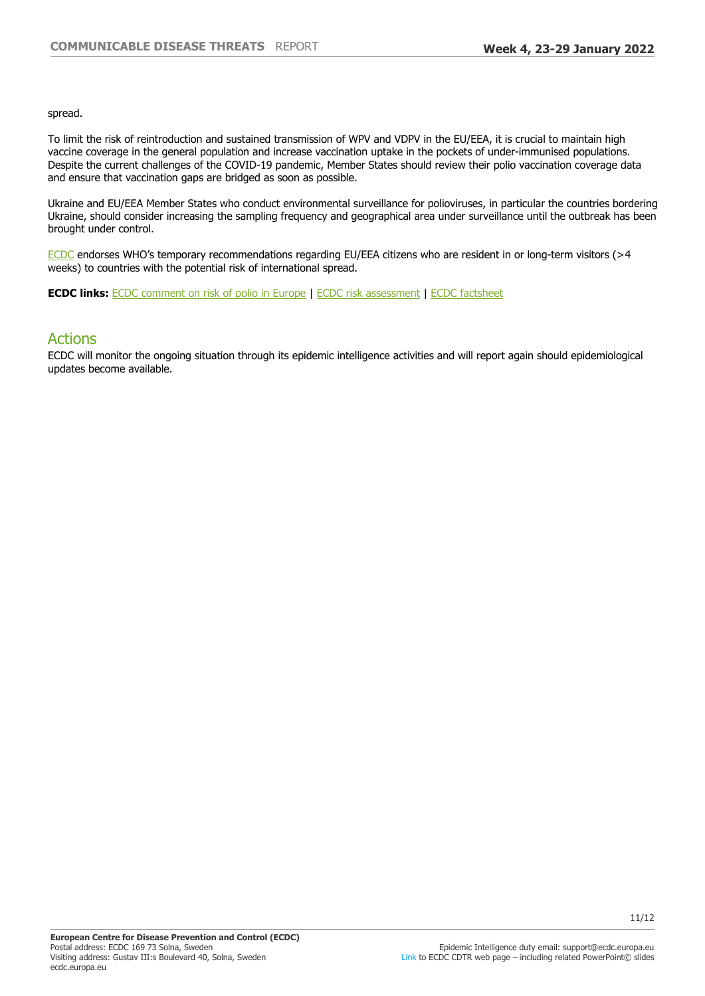spread.

To limit the risk of reintroduction and sustained transmission of WPV and VDPV in the EU/EEA, it is crucial to maintain high vaccine coverage in the general population and increase vaccination uptake in the pockets of under-immunised populations. Despite the current challenges of the COVID-19 pandemic, Member States should review their polio vaccination coverage data and ensure that vaccination gaps are bridged as soon as possible.

Ukraine and EU/EEA Member States who conduct environmental surveillance for polioviruses, in particular the countries bordering Ukraine, should consider increasing the sampling frequency and geographical area under surveillance until the outbreak has been brought under control.

[ECDC](https://eur02.safelinks.protection.outlook.com/?url=https%3A%2F%2Fwww.ecdc.europa.eu%2Fsites%2Fportal%2Ffiles%2Fmedia%2Fen%2Fpublications%2FPublications%2FPolio-risk-assessment-may-2014.pdf&data=04%7C01%7C%7Cf6c55f76c82544e00e6108d989702811%7C6ad73702409c4046ae59cc4bea334507%7C0%7C0%7C637691937091416284%7CUnknown%7CTWFpbGZsb3d8eyJWIjoiMC4wLjAwMDAiLCJQIjoiV2luMzIiLCJBTiI6Ik1haWwiLCJXVCI6Mn0%3D%7C1000&sdata=kkIYifb5VcBAGMS0xf%2FTRrFmhhUoyAfdFn0UxYKc23g%3D&reserved=0) endorses WHO's temporary recommendations regarding EU/EEA citizens who are resident in or long-term visitors ( $>4$ weeks) to countries with the potential risk of international spread.

**ECDC links:** [ECDC comment on risk of polio in Europe](https://www.ecdc.europa.eu/en/news-events/conclusions-twentieth-ihr-emergency-committee-do-not-change-ecdc-risk-assessment-europe) | [ECDC risk assessment](https://eur02.safelinks.protection.outlook.com/?url=http%3A%2F%2Fecdc.europa.eu%2Fpublications-data%2Frapid-risk-assessment-international-spread-wild-type-poliovirus-2014-declared&data=04%7C01%7C%7Cf6c55f76c82544e00e6108d989702811%7C6ad73702409c4046ae59cc4bea334507%7C0%7C0%7C637691937091416284%7CUnknown%7CTWFpbGZsb3d8eyJWIjoiMC4wLjAwMDAiLCJQIjoiV2luMzIiLCJBTiI6Ik1haWwiLCJXVCI6Mn0%3D%7C1000&sdata=RBdTagsFKTVnJ1piXO0LXxjDdpKZHUQWg4zyDnm6Xh8%3D&reserved=0) | [ECDC factsheet](https://eur02.safelinks.protection.outlook.com/?url=https%3A%2F%2Fwww.ecdc.europa.eu%2Fen%2Fpoliomyelitis%2Ffacts&data=04%7C01%7C%7Cf6c55f76c82544e00e6108d989702811%7C6ad73702409c4046ae59cc4bea334507%7C0%7C0%7C637691937091426241%7CUnknown%7CTWFpbGZsb3d8eyJWIjoiMC4wLjAwMDAiLCJQIjoiV2luMzIiLCJBTiI6Ik1haWwiLCJXVCI6Mn0%3D%7C1000&sdata=xMTw9sl6bnr%2BX8CoHbQfSDgsGlUDKqPyw70h52TSULo%3D&reserved=0)

## Actions

ECDC will monitor the ongoing situation through its epidemic intelligence activities and will report again should epidemiological updates become available.